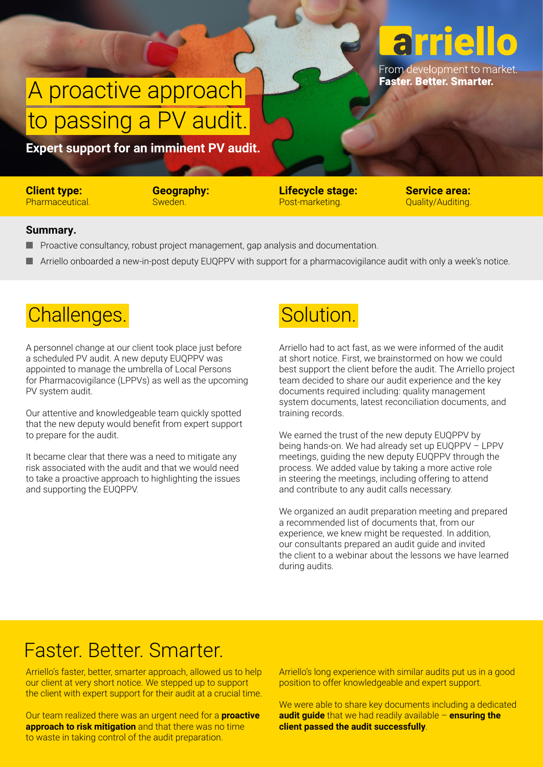

From development to market **Faster. Better. Smarter.** 

## A proactive approach to passing a PV audit.

**Expert support for an imminent PV audit.**

#### **Client type:** Pharmaceutical.

**Geography:** Sweden.

**Lifecycle stage:** Post-marketing.

**Service area:** Quality/Auditing.

#### **Summary.**

- **Proactive consultancy, robust project management, gap analysis and documentation.**
- Arriello onboarded a new-in-post deputy EUQPPV with support for a pharmacovigilance audit with only a week's notice.

### Challenges.

A personnel change at our client took place just before a scheduled PV audit. A new deputy EUQPPV was appointed to manage the umbrella of Local Persons for Pharmacovigilance (LPPVs) as well as the upcoming PV system audit.

Our attentive and knowledgeable team quickly spotted that the new deputy would benefit from expert support to prepare for the audit.

It became clear that there was a need to mitigate any risk associated with the audit and that we would need to take a proactive approach to highlighting the issues and supporting the EUQPPV.

### Solution.

Arriello had to act fast, as we were informed of the audit at short notice. First, we brainstormed on how we could best support the client before the audit. The Arriello project team decided to share our audit experience and the key documents required including: quality management system documents, latest reconciliation documents, and training records.

We earned the trust of the new deputy EUQPPV by being hands-on. We had already set up EUQPPV – LPPV meetings, guiding the new deputy EUQPPV through the process. We added value by taking a more active role in steering the meetings, including offering to attend and contribute to any audit calls necessary.

We organized an audit preparation meeting and prepared a recommended list of documents that, from our experience, we knew might be requested. In addition, our consultants prepared an audit guide and invited the client to a webinar about the lessons we have learned during audits.

### Faster. Better. Smarter.

Arriello's faster, better, smarter approach, allowed us to help our client at very short notice. We stepped up to support the client with expert support for their audit at a crucial time.

Our team realized there was an urgent need for a **proactive approach to risk mitigation** and that there was no time to waste in taking control of the audit preparation.

Arriello's long experience with similar audits put us in a good position to offer knowledgeable and expert support.

We were able to share key documents including a dedicated **audit guide** that we had readily available – **ensuring the client passed the audit successfully**.